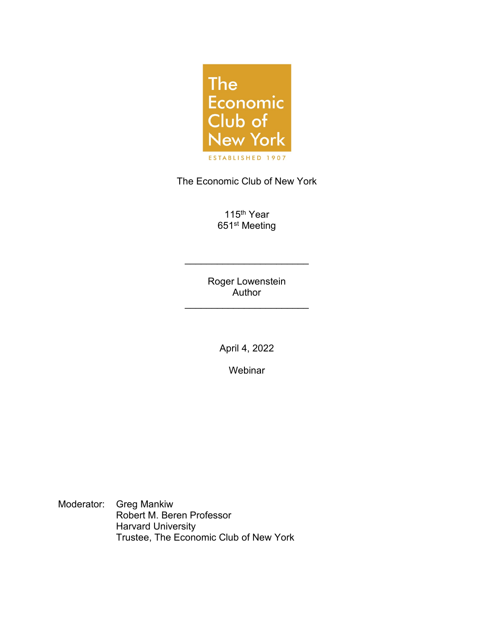

The Economic Club of New York

115<sup>th</sup> Year 651st Meeting

Roger Lowenstein Author

\_\_\_\_\_\_\_\_\_\_\_\_\_\_\_\_\_\_\_\_\_\_\_

\_\_\_\_\_\_\_\_\_\_\_\_\_\_\_\_\_\_\_\_\_\_\_

April 4, 2022

**Webinar** 

Moderator: Greg Mankiw Robert M. Beren Professor Harvard University Trustee, The Economic Club of New York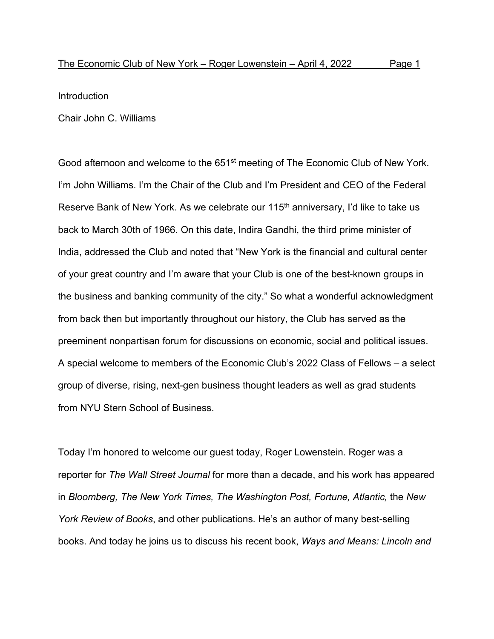Introduction

Chair John C. Williams

Good afternoon and welcome to the 651st meeting of The Economic Club of New York. I'm John Williams. I'm the Chair of the Club and I'm President and CEO of the Federal Reserve Bank of New York. As we celebrate our 115<sup>th</sup> anniversary, I'd like to take us back to March 30th of 1966. On this date, Indira Gandhi, the third prime minister of India, addressed the Club and noted that "New York is the financial and cultural center of your great country and I'm aware that your Club is one of the best-known groups in the business and banking community of the city." So what a wonderful acknowledgment from back then but importantly throughout our history, the Club has served as the preeminent nonpartisan forum for discussions on economic, social and political issues. A special welcome to members of the Economic Club's 2022 Class of Fellows – a select group of diverse, rising, next-gen business thought leaders as well as grad students from NYU Stern School of Business.

Today I'm honored to welcome our guest today, Roger Lowenstein. Roger was a reporter for *The Wall Street Journal* for more than a decade, and his work has appeared in *Bloomberg, The New York Times, The Washington Post, Fortune, Atlantic,* the *New York Review of Books*, and other publications. He's an author of many best-selling books. And today he joins us to discuss his recent book, *Ways and Means: Lincoln and*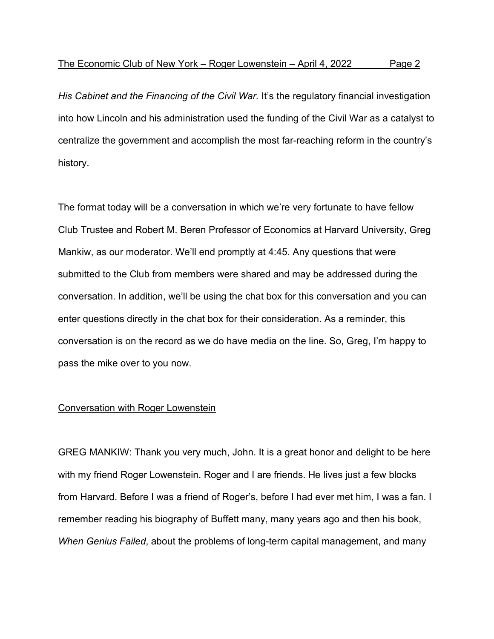*His Cabinet and the Financing of the Civil War.* It's the regulatory financial investigation into how Lincoln and his administration used the funding of the Civil War as a catalyst to centralize the government and accomplish the most far-reaching reform in the country's history.

The format today will be a conversation in which we're very fortunate to have fellow Club Trustee and Robert M. Beren Professor of Economics at Harvard University, Greg Mankiw, as our moderator. We'll end promptly at 4:45. Any questions that were submitted to the Club from members were shared and may be addressed during the conversation. In addition, we'll be using the chat box for this conversation and you can enter questions directly in the chat box for their consideration. As a reminder, this conversation is on the record as we do have media on the line. So, Greg, I'm happy to pass the mike over to you now.

## Conversation with Roger Lowenstein

GREG MANKIW: Thank you very much, John. It is a great honor and delight to be here with my friend Roger Lowenstein. Roger and I are friends. He lives just a few blocks from Harvard. Before I was a friend of Roger's, before I had ever met him, I was a fan. I remember reading his biography of Buffett many, many years ago and then his book, *When Genius Failed*, about the problems of long-term capital management, and many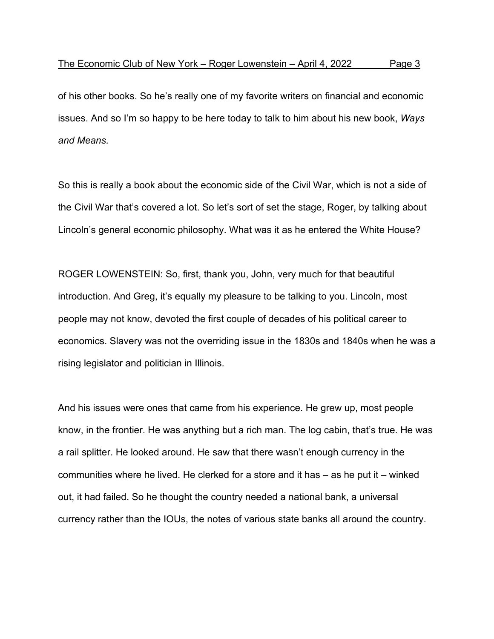of his other books. So he's really one of my favorite writers on financial and economic issues. And so I'm so happy to be here today to talk to him about his new book, *Ways and Means.*

So this is really a book about the economic side of the Civil War, which is not a side of the Civil War that's covered a lot. So let's sort of set the stage, Roger, by talking about Lincoln's general economic philosophy. What was it as he entered the White House?

ROGER LOWENSTEIN: So, first, thank you, John, very much for that beautiful introduction. And Greg, it's equally my pleasure to be talking to you. Lincoln, most people may not know, devoted the first couple of decades of his political career to economics. Slavery was not the overriding issue in the 1830s and 1840s when he was a rising legislator and politician in Illinois.

And his issues were ones that came from his experience. He grew up, most people know, in the frontier. He was anything but a rich man. The log cabin, that's true. He was a rail splitter. He looked around. He saw that there wasn't enough currency in the communities where he lived. He clerked for a store and it has – as he put it – winked out, it had failed. So he thought the country needed a national bank, a universal currency rather than the IOUs, the notes of various state banks all around the country.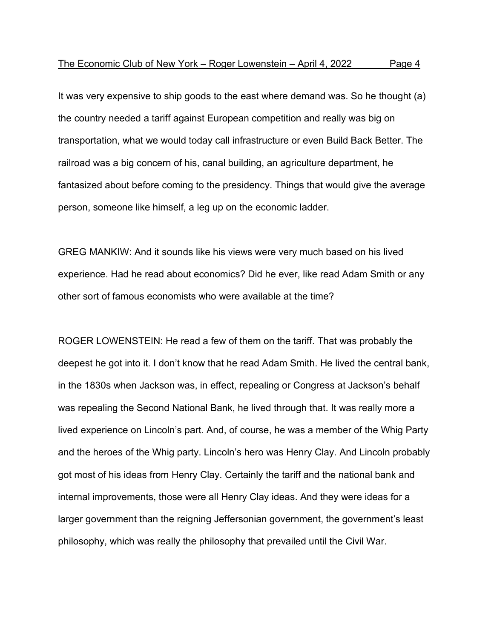It was very expensive to ship goods to the east where demand was. So he thought (a) the country needed a tariff against European competition and really was big on transportation, what we would today call infrastructure or even Build Back Better. The railroad was a big concern of his, canal building, an agriculture department, he fantasized about before coming to the presidency. Things that would give the average person, someone like himself, a leg up on the economic ladder.

GREG MANKIW: And it sounds like his views were very much based on his lived experience. Had he read about economics? Did he ever, like read Adam Smith or any other sort of famous economists who were available at the time?

ROGER LOWENSTEIN: He read a few of them on the tariff. That was probably the deepest he got into it. I don't know that he read Adam Smith. He lived the central bank, in the 1830s when Jackson was, in effect, repealing or Congress at Jackson's behalf was repealing the Second National Bank, he lived through that. It was really more a lived experience on Lincoln's part. And, of course, he was a member of the Whig Party and the heroes of the Whig party. Lincoln's hero was Henry Clay. And Lincoln probably got most of his ideas from Henry Clay. Certainly the tariff and the national bank and internal improvements, those were all Henry Clay ideas. And they were ideas for a larger government than the reigning Jeffersonian government, the government's least philosophy, which was really the philosophy that prevailed until the Civil War.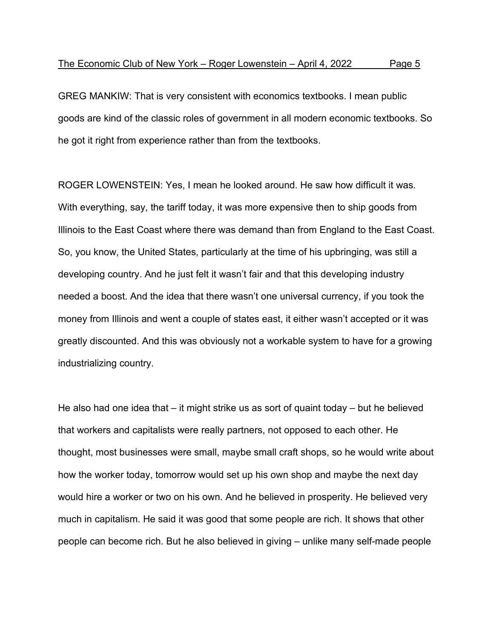GREG MANKIW: That is very consistent with economics textbooks. I mean public goods are kind of the classic roles of government in all modern economic textbooks. So he got it right from experience rather than from the textbooks.

ROGER LOWENSTEIN: Yes, I mean he looked around. He saw how difficult it was. With everything, say, the tariff today, it was more expensive then to ship goods from Illinois to the East Coast where there was demand than from England to the East Coast. So, you know, the United States, particularly at the time of his upbringing, was still a developing country. And he just felt it wasn't fair and that this developing industry needed a boost. And the idea that there wasn't one universal currency, if you took the money from Illinois and went a couple of states east, it either wasn't accepted or it was greatly discounted. And this was obviously not a workable system to have for a growing industrializing country.

He also had one idea that – it might strike us as sort of quaint today – but he believed that workers and capitalists were really partners, not opposed to each other. He thought, most businesses were small, maybe small craft shops, so he would write about how the worker today, tomorrow would set up his own shop and maybe the next day would hire a worker or two on his own. And he believed in prosperity. He believed very much in capitalism. He said it was good that some people are rich. It shows that other people can become rich. But he also believed in giving – unlike many self-made people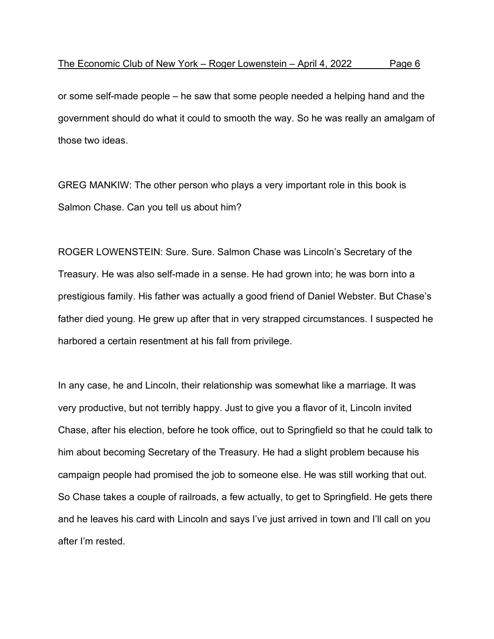or some self-made people – he saw that some people needed a helping hand and the government should do what it could to smooth the way. So he was really an amalgam of those two ideas.

GREG MANKIW: The other person who plays a very important role in this book is Salmon Chase. Can you tell us about him?

ROGER LOWENSTEIN: Sure. Sure. Salmon Chase was Lincoln's Secretary of the Treasury. He was also self-made in a sense. He had grown into; he was born into a prestigious family. His father was actually a good friend of Daniel Webster. But Chase's father died young. He grew up after that in very strapped circumstances. I suspected he harbored a certain resentment at his fall from privilege.

In any case, he and Lincoln, their relationship was somewhat like a marriage. It was very productive, but not terribly happy. Just to give you a flavor of it, Lincoln invited Chase, after his election, before he took office, out to Springfield so that he could talk to him about becoming Secretary of the Treasury. He had a slight problem because his campaign people had promised the job to someone else. He was still working that out. So Chase takes a couple of railroads, a few actually, to get to Springfield. He gets there and he leaves his card with Lincoln and says I've just arrived in town and I'll call on you after I'm rested.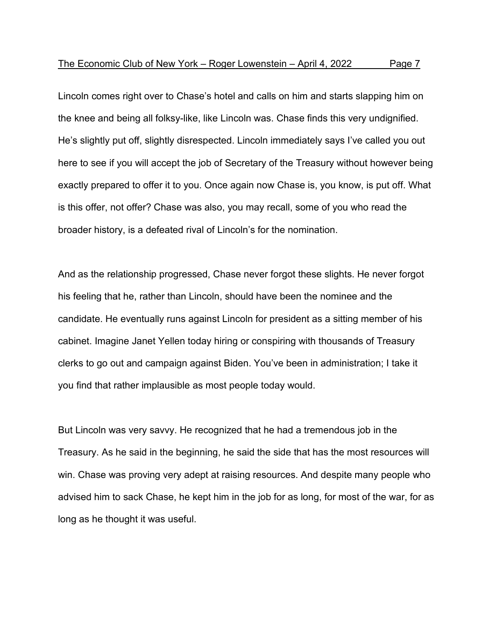Lincoln comes right over to Chase's hotel and calls on him and starts slapping him on the knee and being all folksy-like, like Lincoln was. Chase finds this very undignified. He's slightly put off, slightly disrespected. Lincoln immediately says I've called you out here to see if you will accept the job of Secretary of the Treasury without however being exactly prepared to offer it to you. Once again now Chase is, you know, is put off. What is this offer, not offer? Chase was also, you may recall, some of you who read the broader history, is a defeated rival of Lincoln's for the nomination.

And as the relationship progressed, Chase never forgot these slights. He never forgot his feeling that he, rather than Lincoln, should have been the nominee and the candidate. He eventually runs against Lincoln for president as a sitting member of his cabinet. Imagine Janet Yellen today hiring or conspiring with thousands of Treasury clerks to go out and campaign against Biden. You've been in administration; I take it you find that rather implausible as most people today would.

But Lincoln was very savvy. He recognized that he had a tremendous job in the Treasury. As he said in the beginning, he said the side that has the most resources will win. Chase was proving very adept at raising resources. And despite many people who advised him to sack Chase, he kept him in the job for as long, for most of the war, for as long as he thought it was useful.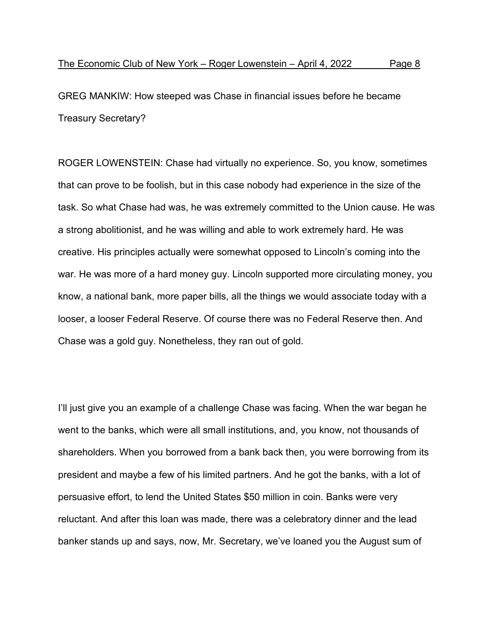GREG MANKIW: How steeped was Chase in financial issues before he became Treasury Secretary?

ROGER LOWENSTEIN: Chase had virtually no experience. So, you know, sometimes that can prove to be foolish, but in this case nobody had experience in the size of the task. So what Chase had was, he was extremely committed to the Union cause. He was a strong abolitionist, and he was willing and able to work extremely hard. He was creative. His principles actually were somewhat opposed to Lincoln's coming into the war. He was more of a hard money guy. Lincoln supported more circulating money, you know, a national bank, more paper bills, all the things we would associate today with a looser, a looser Federal Reserve. Of course there was no Federal Reserve then. And Chase was a gold guy. Nonetheless, they ran out of gold.

I'll just give you an example of a challenge Chase was facing. When the war began he went to the banks, which were all small institutions, and, you know, not thousands of shareholders. When you borrowed from a bank back then, you were borrowing from its president and maybe a few of his limited partners. And he got the banks, with a lot of persuasive effort, to lend the United States \$50 million in coin. Banks were very reluctant. And after this loan was made, there was a celebratory dinner and the lead banker stands up and says, now, Mr. Secretary, we've loaned you the August sum of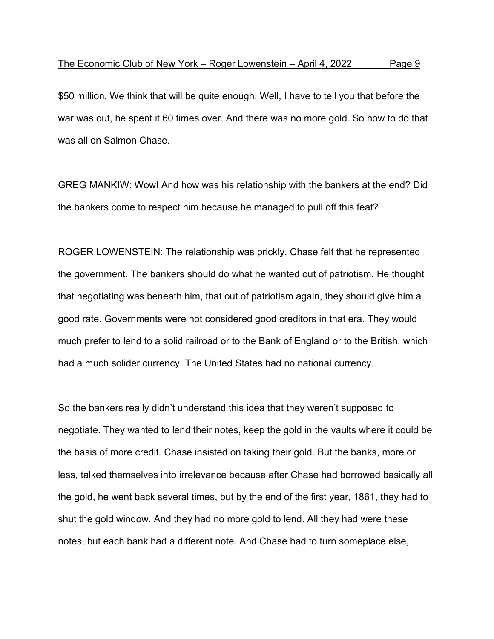\$50 million. We think that will be quite enough. Well, I have to tell you that before the war was out, he spent it 60 times over. And there was no more gold. So how to do that was all on Salmon Chase.

GREG MANKIW: Wow! And how was his relationship with the bankers at the end? Did the bankers come to respect him because he managed to pull off this feat?

ROGER LOWENSTEIN: The relationship was prickly. Chase felt that he represented the government. The bankers should do what he wanted out of patriotism. He thought that negotiating was beneath him, that out of patriotism again, they should give him a good rate. Governments were not considered good creditors in that era. They would much prefer to lend to a solid railroad or to the Bank of England or to the British, which had a much solider currency. The United States had no national currency.

So the bankers really didn't understand this idea that they weren't supposed to negotiate. They wanted to lend their notes, keep the gold in the vaults where it could be the basis of more credit. Chase insisted on taking their gold. But the banks, more or less, talked themselves into irrelevance because after Chase had borrowed basically all the gold, he went back several times, but by the end of the first year, 1861, they had to shut the gold window. And they had no more gold to lend. All they had were these notes, but each bank had a different note. And Chase had to turn someplace else,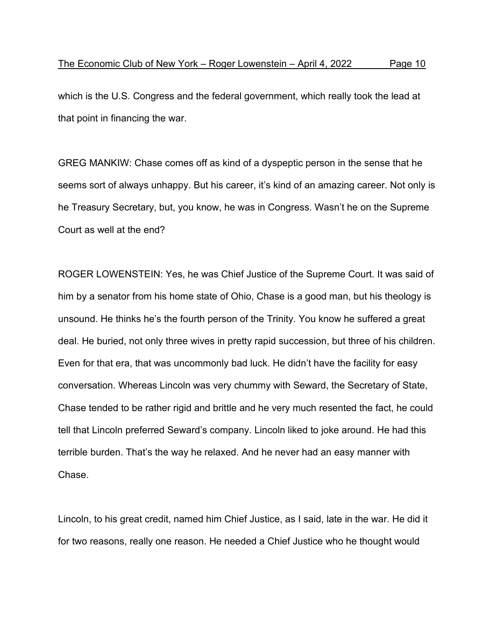which is the U.S. Congress and the federal government, which really took the lead at that point in financing the war.

GREG MANKIW: Chase comes off as kind of a dyspeptic person in the sense that he seems sort of always unhappy. But his career, it's kind of an amazing career. Not only is he Treasury Secretary, but, you know, he was in Congress. Wasn't he on the Supreme Court as well at the end?

ROGER LOWENSTEIN: Yes, he was Chief Justice of the Supreme Court. It was said of him by a senator from his home state of Ohio, Chase is a good man, but his theology is unsound. He thinks he's the fourth person of the Trinity. You know he suffered a great deal. He buried, not only three wives in pretty rapid succession, but three of his children. Even for that era, that was uncommonly bad luck. He didn't have the facility for easy conversation. Whereas Lincoln was very chummy with Seward, the Secretary of State, Chase tended to be rather rigid and brittle and he very much resented the fact, he could tell that Lincoln preferred Seward's company. Lincoln liked to joke around. He had this terrible burden. That's the way he relaxed. And he never had an easy manner with Chase.

Lincoln, to his great credit, named him Chief Justice, as I said, late in the war. He did it for two reasons, really one reason. He needed a Chief Justice who he thought would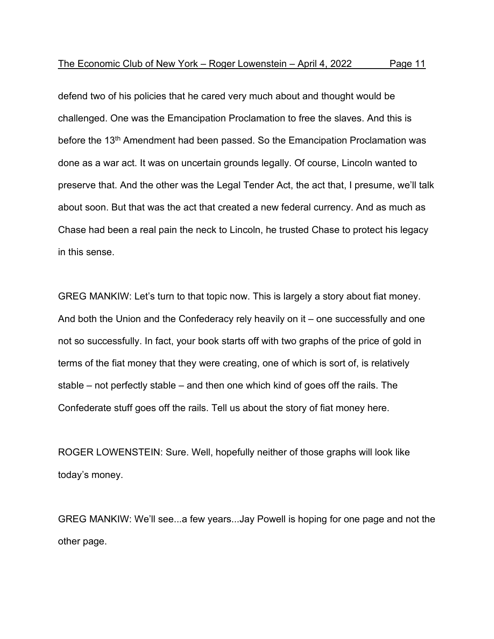defend two of his policies that he cared very much about and thought would be challenged. One was the Emancipation Proclamation to free the slaves. And this is before the 13<sup>th</sup> Amendment had been passed. So the Emancipation Proclamation was done as a war act. It was on uncertain grounds legally. Of course, Lincoln wanted to preserve that. And the other was the Legal Tender Act, the act that, I presume, we'll talk about soon. But that was the act that created a new federal currency. And as much as Chase had been a real pain the neck to Lincoln, he trusted Chase to protect his legacy in this sense.

GREG MANKIW: Let's turn to that topic now. This is largely a story about fiat money. And both the Union and the Confederacy rely heavily on it – one successfully and one not so successfully. In fact, your book starts off with two graphs of the price of gold in terms of the fiat money that they were creating, one of which is sort of, is relatively stable – not perfectly stable – and then one which kind of goes off the rails. The Confederate stuff goes off the rails. Tell us about the story of fiat money here.

ROGER LOWENSTEIN: Sure. Well, hopefully neither of those graphs will look like today's money.

GREG MANKIW: We'll see...a few years...Jay Powell is hoping for one page and not the other page.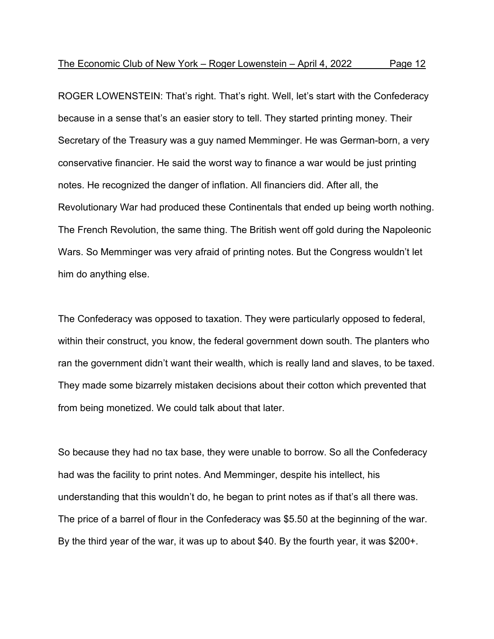ROGER LOWENSTEIN: That's right. That's right. Well, let's start with the Confederacy because in a sense that's an easier story to tell. They started printing money. Their Secretary of the Treasury was a guy named Memminger. He was German-born, a very conservative financier. He said the worst way to finance a war would be just printing notes. He recognized the danger of inflation. All financiers did. After all, the Revolutionary War had produced these Continentals that ended up being worth nothing. The French Revolution, the same thing. The British went off gold during the Napoleonic Wars. So Memminger was very afraid of printing notes. But the Congress wouldn't let him do anything else.

The Confederacy was opposed to taxation. They were particularly opposed to federal, within their construct, you know, the federal government down south. The planters who ran the government didn't want their wealth, which is really land and slaves, to be taxed. They made some bizarrely mistaken decisions about their cotton which prevented that from being monetized. We could talk about that later.

So because they had no tax base, they were unable to borrow. So all the Confederacy had was the facility to print notes. And Memminger, despite his intellect, his understanding that this wouldn't do, he began to print notes as if that's all there was. The price of a barrel of flour in the Confederacy was \$5.50 at the beginning of the war. By the third year of the war, it was up to about \$40. By the fourth year, it was \$200+.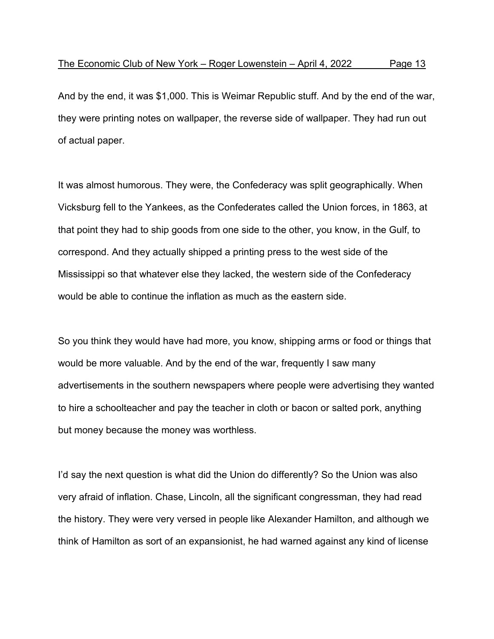And by the end, it was \$1,000. This is Weimar Republic stuff. And by the end of the war, they were printing notes on wallpaper, the reverse side of wallpaper. They had run out of actual paper.

It was almost humorous. They were, the Confederacy was split geographically. When Vicksburg fell to the Yankees, as the Confederates called the Union forces, in 1863, at that point they had to ship goods from one side to the other, you know, in the Gulf, to correspond. And they actually shipped a printing press to the west side of the Mississippi so that whatever else they lacked, the western side of the Confederacy would be able to continue the inflation as much as the eastern side.

So you think they would have had more, you know, shipping arms or food or things that would be more valuable. And by the end of the war, frequently I saw many advertisements in the southern newspapers where people were advertising they wanted to hire a schoolteacher and pay the teacher in cloth or bacon or salted pork, anything but money because the money was worthless.

I'd say the next question is what did the Union do differently? So the Union was also very afraid of inflation. Chase, Lincoln, all the significant congressman, they had read the history. They were very versed in people like Alexander Hamilton, and although we think of Hamilton as sort of an expansionist, he had warned against any kind of license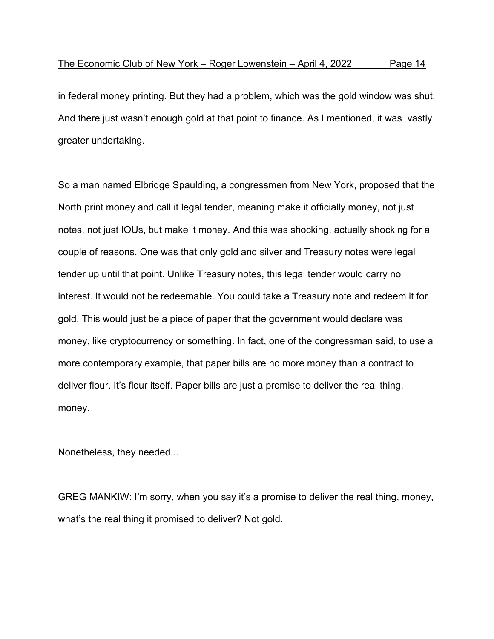in federal money printing. But they had a problem, which was the gold window was shut. And there just wasn't enough gold at that point to finance. As I mentioned, it was vastly greater undertaking.

So a man named Elbridge Spaulding, a congressmen from New York, proposed that the North print money and call it legal tender, meaning make it officially money, not just notes, not just IOUs, but make it money. And this was shocking, actually shocking for a couple of reasons. One was that only gold and silver and Treasury notes were legal tender up until that point. Unlike Treasury notes, this legal tender would carry no interest. It would not be redeemable. You could take a Treasury note and redeem it for gold. This would just be a piece of paper that the government would declare was money, like cryptocurrency or something. In fact, one of the congressman said, to use a more contemporary example, that paper bills are no more money than a contract to deliver flour. It's flour itself. Paper bills are just a promise to deliver the real thing, money.

Nonetheless, they needed...

GREG MANKIW: I'm sorry, when you say it's a promise to deliver the real thing, money, what's the real thing it promised to deliver? Not gold.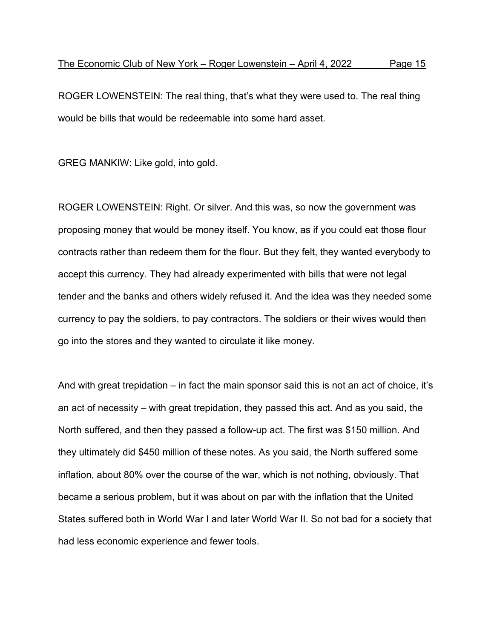ROGER LOWENSTEIN: The real thing, that's what they were used to. The real thing would be bills that would be redeemable into some hard asset.

GREG MANKIW: Like gold, into gold.

ROGER LOWENSTEIN: Right. Or silver. And this was, so now the government was proposing money that would be money itself. You know, as if you could eat those flour contracts rather than redeem them for the flour. But they felt, they wanted everybody to accept this currency. They had already experimented with bills that were not legal tender and the banks and others widely refused it. And the idea was they needed some currency to pay the soldiers, to pay contractors. The soldiers or their wives would then go into the stores and they wanted to circulate it like money.

And with great trepidation – in fact the main sponsor said this is not an act of choice, it's an act of necessity – with great trepidation, they passed this act. And as you said, the North suffered, and then they passed a follow-up act. The first was \$150 million. And they ultimately did \$450 million of these notes. As you said, the North suffered some inflation, about 80% over the course of the war, which is not nothing, obviously. That became a serious problem, but it was about on par with the inflation that the United States suffered both in World War I and later World War II. So not bad for a society that had less economic experience and fewer tools.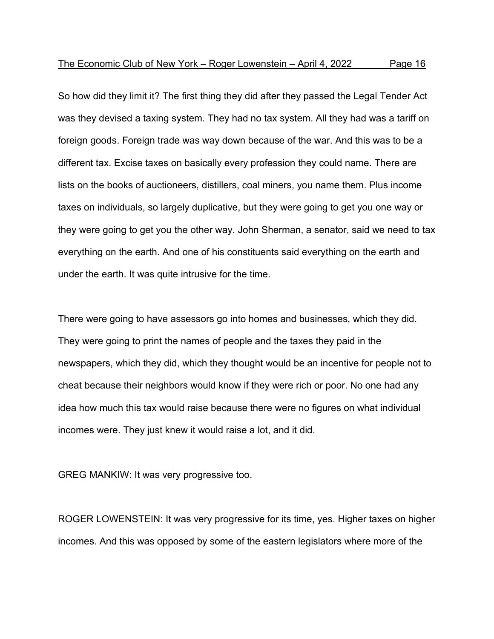So how did they limit it? The first thing they did after they passed the Legal Tender Act was they devised a taxing system. They had no tax system. All they had was a tariff on foreign goods. Foreign trade was way down because of the war. And this was to be a different tax. Excise taxes on basically every profession they could name. There are lists on the books of auctioneers, distillers, coal miners, you name them. Plus income taxes on individuals, so largely duplicative, but they were going to get you one way or they were going to get you the other way. John Sherman, a senator, said we need to tax everything on the earth. And one of his constituents said everything on the earth and under the earth. It was quite intrusive for the time.

There were going to have assessors go into homes and businesses, which they did. They were going to print the names of people and the taxes they paid in the newspapers, which they did, which they thought would be an incentive for people not to cheat because their neighbors would know if they were rich or poor. No one had any idea how much this tax would raise because there were no figures on what individual incomes were. They just knew it would raise a lot, and it did.

GREG MANKIW: It was very progressive too.

ROGER LOWENSTEIN: It was very progressive for its time, yes. Higher taxes on higher incomes. And this was opposed by some of the eastern legislators where more of the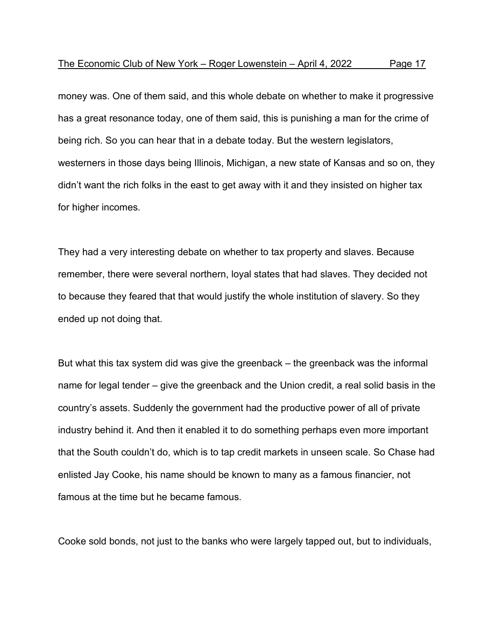money was. One of them said, and this whole debate on whether to make it progressive has a great resonance today, one of them said, this is punishing a man for the crime of being rich. So you can hear that in a debate today. But the western legislators, westerners in those days being Illinois, Michigan, a new state of Kansas and so on, they didn't want the rich folks in the east to get away with it and they insisted on higher tax for higher incomes.

They had a very interesting debate on whether to tax property and slaves. Because remember, there were several northern, loyal states that had slaves. They decided not to because they feared that that would justify the whole institution of slavery. So they ended up not doing that.

But what this tax system did was give the greenback – the greenback was the informal name for legal tender – give the greenback and the Union credit, a real solid basis in the country's assets. Suddenly the government had the productive power of all of private industry behind it. And then it enabled it to do something perhaps even more important that the South couldn't do, which is to tap credit markets in unseen scale. So Chase had enlisted Jay Cooke, his name should be known to many as a famous financier, not famous at the time but he became famous.

Cooke sold bonds, not just to the banks who were largely tapped out, but to individuals,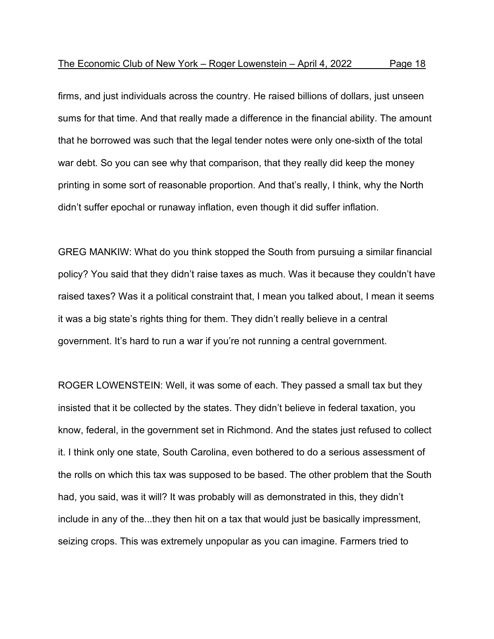firms, and just individuals across the country. He raised billions of dollars, just unseen sums for that time. And that really made a difference in the financial ability. The amount that he borrowed was such that the legal tender notes were only one-sixth of the total war debt. So you can see why that comparison, that they really did keep the money printing in some sort of reasonable proportion. And that's really, I think, why the North didn't suffer epochal or runaway inflation, even though it did suffer inflation.

GREG MANKIW: What do you think stopped the South from pursuing a similar financial policy? You said that they didn't raise taxes as much. Was it because they couldn't have raised taxes? Was it a political constraint that, I mean you talked about, I mean it seems it was a big state's rights thing for them. They didn't really believe in a central government. It's hard to run a war if you're not running a central government.

ROGER LOWENSTEIN: Well, it was some of each. They passed a small tax but they insisted that it be collected by the states. They didn't believe in federal taxation, you know, federal, in the government set in Richmond. And the states just refused to collect it. I think only one state, South Carolina, even bothered to do a serious assessment of the rolls on which this tax was supposed to be based. The other problem that the South had, you said, was it will? It was probably will as demonstrated in this, they didn't include in any of the...they then hit on a tax that would just be basically impressment, seizing crops. This was extremely unpopular as you can imagine. Farmers tried to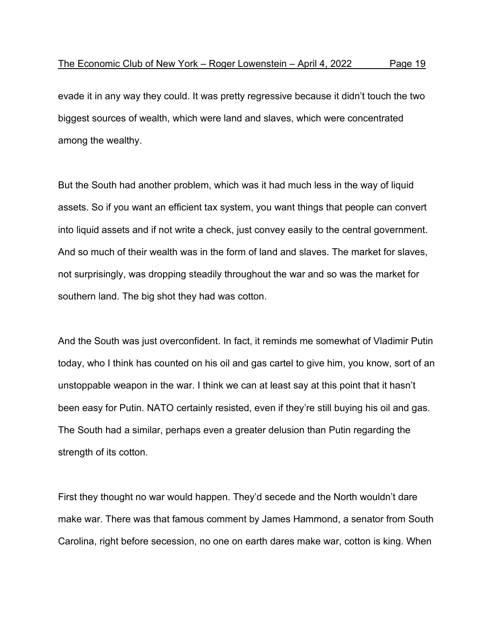evade it in any way they could. It was pretty regressive because it didn't touch the two biggest sources of wealth, which were land and slaves, which were concentrated among the wealthy.

But the South had another problem, which was it had much less in the way of liquid assets. So if you want an efficient tax system, you want things that people can convert into liquid assets and if not write a check, just convey easily to the central government. And so much of their wealth was in the form of land and slaves. The market for slaves, not surprisingly, was dropping steadily throughout the war and so was the market for southern land. The big shot they had was cotton.

And the South was just overconfident. In fact, it reminds me somewhat of Vladimir Putin today, who I think has counted on his oil and gas cartel to give him, you know, sort of an unstoppable weapon in the war. I think we can at least say at this point that it hasn't been easy for Putin. NATO certainly resisted, even if they're still buying his oil and gas. The South had a similar, perhaps even a greater delusion than Putin regarding the strength of its cotton.

First they thought no war would happen. They'd secede and the North wouldn't dare make war. There was that famous comment by James Hammond, a senator from South Carolina, right before secession, no one on earth dares make war, cotton is king. When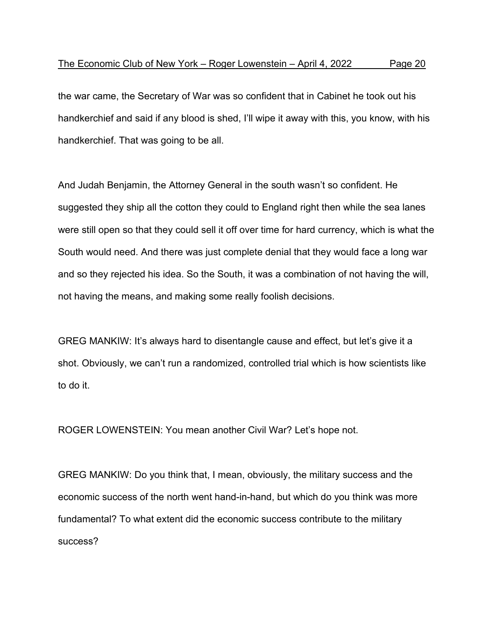the war came, the Secretary of War was so confident that in Cabinet he took out his handkerchief and said if any blood is shed, I'll wipe it away with this, you know, with his handkerchief. That was going to be all.

And Judah Benjamin, the Attorney General in the south wasn't so confident. He suggested they ship all the cotton they could to England right then while the sea lanes were still open so that they could sell it off over time for hard currency, which is what the South would need. And there was just complete denial that they would face a long war and so they rejected his idea. So the South, it was a combination of not having the will, not having the means, and making some really foolish decisions.

GREG MANKIW: It's always hard to disentangle cause and effect, but let's give it a shot. Obviously, we can't run a randomized, controlled trial which is how scientists like to do it.

ROGER LOWENSTEIN: You mean another Civil War? Let's hope not.

GREG MANKIW: Do you think that, I mean, obviously, the military success and the economic success of the north went hand-in-hand, but which do you think was more fundamental? To what extent did the economic success contribute to the military success?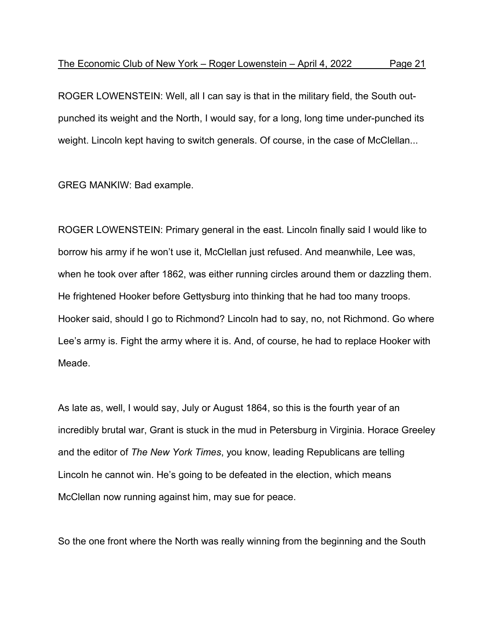ROGER LOWENSTEIN: Well, all I can say is that in the military field, the South outpunched its weight and the North, I would say, for a long, long time under-punched its weight. Lincoln kept having to switch generals. Of course, in the case of McClellan...

GREG MANKIW: Bad example.

ROGER LOWENSTEIN: Primary general in the east. Lincoln finally said I would like to borrow his army if he won't use it, McClellan just refused. And meanwhile, Lee was, when he took over after 1862, was either running circles around them or dazzling them. He frightened Hooker before Gettysburg into thinking that he had too many troops. Hooker said, should I go to Richmond? Lincoln had to say, no, not Richmond. Go where Lee's army is. Fight the army where it is. And, of course, he had to replace Hooker with Meade.

As late as, well, I would say, July or August 1864, so this is the fourth year of an incredibly brutal war, Grant is stuck in the mud in Petersburg in Virginia. Horace Greeley and the editor of *The New York Times*, you know, leading Republicans are telling Lincoln he cannot win. He's going to be defeated in the election, which means McClellan now running against him, may sue for peace.

So the one front where the North was really winning from the beginning and the South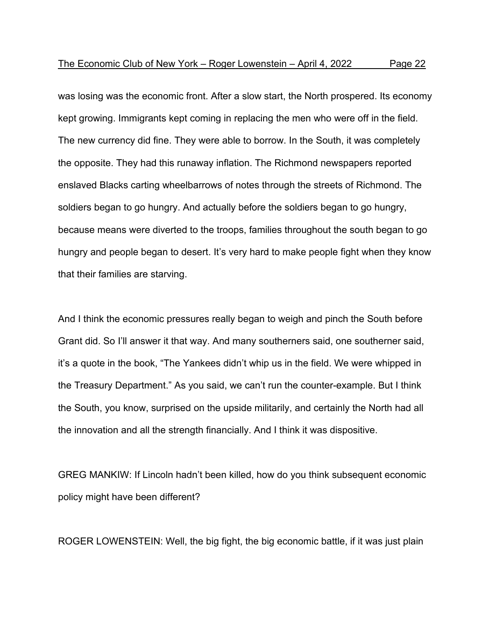was losing was the economic front. After a slow start, the North prospered. Its economy kept growing. Immigrants kept coming in replacing the men who were off in the field. The new currency did fine. They were able to borrow. In the South, it was completely the opposite. They had this runaway inflation. The Richmond newspapers reported enslaved Blacks carting wheelbarrows of notes through the streets of Richmond. The soldiers began to go hungry. And actually before the soldiers began to go hungry, because means were diverted to the troops, families throughout the south began to go hungry and people began to desert. It's very hard to make people fight when they know that their families are starving.

And I think the economic pressures really began to weigh and pinch the South before Grant did. So I'll answer it that way. And many southerners said, one southerner said, it's a quote in the book, "The Yankees didn't whip us in the field. We were whipped in the Treasury Department." As you said, we can't run the counter-example. But I think the South, you know, surprised on the upside militarily, and certainly the North had all the innovation and all the strength financially. And I think it was dispositive.

GREG MANKIW: If Lincoln hadn't been killed, how do you think subsequent economic policy might have been different?

ROGER LOWENSTEIN: Well, the big fight, the big economic battle, if it was just plain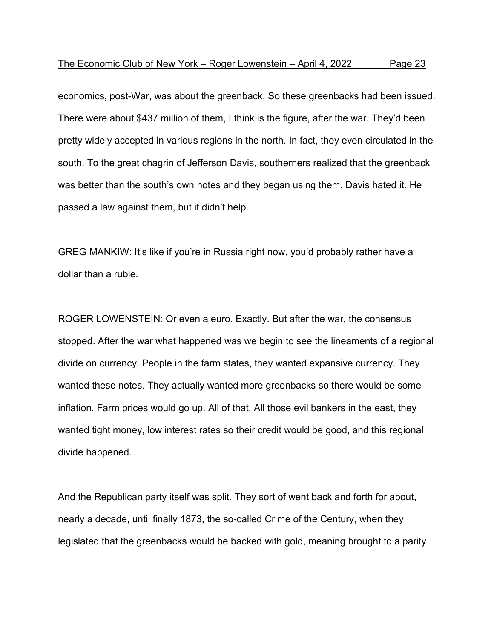economics, post-War, was about the greenback. So these greenbacks had been issued. There were about \$437 million of them, I think is the figure, after the war. They'd been pretty widely accepted in various regions in the north. In fact, they even circulated in the south. To the great chagrin of Jefferson Davis, southerners realized that the greenback was better than the south's own notes and they began using them. Davis hated it. He passed a law against them, but it didn't help.

GREG MANKIW: It's like if you're in Russia right now, you'd probably rather have a dollar than a ruble.

ROGER LOWENSTEIN: Or even a euro. Exactly. But after the war, the consensus stopped. After the war what happened was we begin to see the lineaments of a regional divide on currency. People in the farm states, they wanted expansive currency. They wanted these notes. They actually wanted more greenbacks so there would be some inflation. Farm prices would go up. All of that. All those evil bankers in the east, they wanted tight money, low interest rates so their credit would be good, and this regional divide happened.

And the Republican party itself was split. They sort of went back and forth for about, nearly a decade, until finally 1873, the so-called Crime of the Century, when they legislated that the greenbacks would be backed with gold, meaning brought to a parity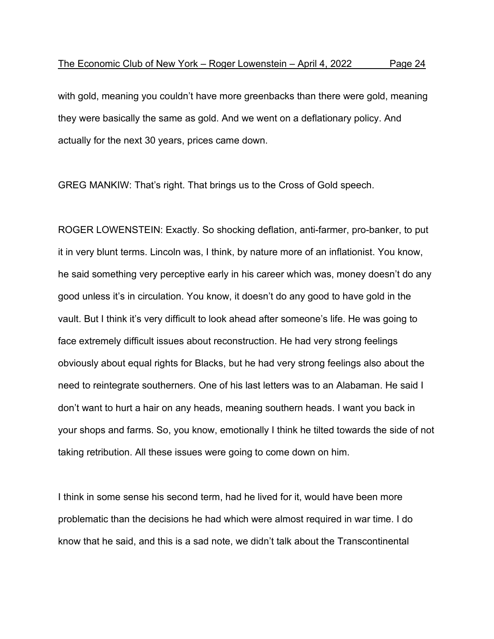with gold, meaning you couldn't have more greenbacks than there were gold, meaning they were basically the same as gold. And we went on a deflationary policy. And actually for the next 30 years, prices came down.

GREG MANKIW: That's right. That brings us to the Cross of Gold speech.

ROGER LOWENSTEIN: Exactly. So shocking deflation, anti-farmer, pro-banker, to put it in very blunt terms. Lincoln was, I think, by nature more of an inflationist. You know, he said something very perceptive early in his career which was, money doesn't do any good unless it's in circulation. You know, it doesn't do any good to have gold in the vault. But I think it's very difficult to look ahead after someone's life. He was going to face extremely difficult issues about reconstruction. He had very strong feelings obviously about equal rights for Blacks, but he had very strong feelings also about the need to reintegrate southerners. One of his last letters was to an Alabaman. He said I don't want to hurt a hair on any heads, meaning southern heads. I want you back in your shops and farms. So, you know, emotionally I think he tilted towards the side of not taking retribution. All these issues were going to come down on him.

I think in some sense his second term, had he lived for it, would have been more problematic than the decisions he had which were almost required in war time. I do know that he said, and this is a sad note, we didn't talk about the Transcontinental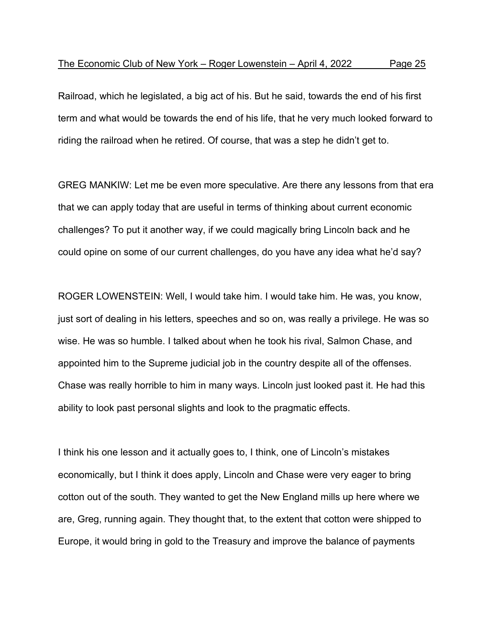Railroad, which he legislated, a big act of his. But he said, towards the end of his first term and what would be towards the end of his life, that he very much looked forward to riding the railroad when he retired. Of course, that was a step he didn't get to.

GREG MANKIW: Let me be even more speculative. Are there any lessons from that era that we can apply today that are useful in terms of thinking about current economic challenges? To put it another way, if we could magically bring Lincoln back and he could opine on some of our current challenges, do you have any idea what he'd say?

ROGER LOWENSTEIN: Well, I would take him. I would take him. He was, you know, just sort of dealing in his letters, speeches and so on, was really a privilege. He was so wise. He was so humble. I talked about when he took his rival, Salmon Chase, and appointed him to the Supreme judicial job in the country despite all of the offenses. Chase was really horrible to him in many ways. Lincoln just looked past it. He had this ability to look past personal slights and look to the pragmatic effects.

I think his one lesson and it actually goes to, I think, one of Lincoln's mistakes economically, but I think it does apply, Lincoln and Chase were very eager to bring cotton out of the south. They wanted to get the New England mills up here where we are, Greg, running again. They thought that, to the extent that cotton were shipped to Europe, it would bring in gold to the Treasury and improve the balance of payments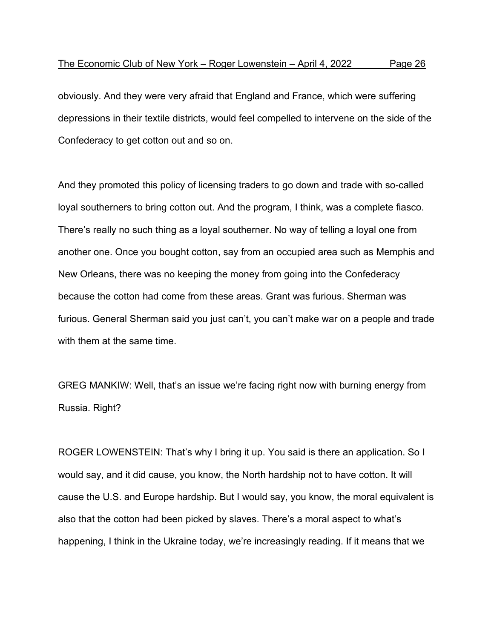obviously. And they were very afraid that England and France, which were suffering depressions in their textile districts, would feel compelled to intervene on the side of the Confederacy to get cotton out and so on.

And they promoted this policy of licensing traders to go down and trade with so-called loyal southerners to bring cotton out. And the program, I think, was a complete fiasco. There's really no such thing as a loyal southerner. No way of telling a loyal one from another one. Once you bought cotton, say from an occupied area such as Memphis and New Orleans, there was no keeping the money from going into the Confederacy because the cotton had come from these areas. Grant was furious. Sherman was furious. General Sherman said you just can't, you can't make war on a people and trade with them at the same time.

GREG MANKIW: Well, that's an issue we're facing right now with burning energy from Russia. Right?

ROGER LOWENSTEIN: That's why I bring it up. You said is there an application. So I would say, and it did cause, you know, the North hardship not to have cotton. It will cause the U.S. and Europe hardship. But I would say, you know, the moral equivalent is also that the cotton had been picked by slaves. There's a moral aspect to what's happening, I think in the Ukraine today, we're increasingly reading. If it means that we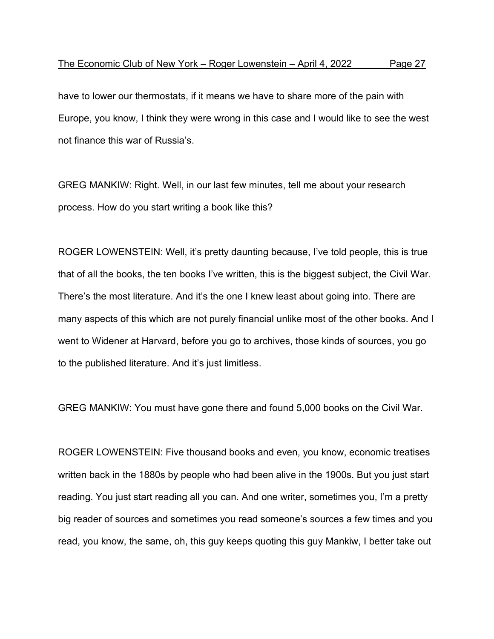have to lower our thermostats, if it means we have to share more of the pain with Europe, you know, I think they were wrong in this case and I would like to see the west not finance this war of Russia's.

GREG MANKIW: Right. Well, in our last few minutes, tell me about your research process. How do you start writing a book like this?

ROGER LOWENSTEIN: Well, it's pretty daunting because, I've told people, this is true that of all the books, the ten books I've written, this is the biggest subject, the Civil War. There's the most literature. And it's the one I knew least about going into. There are many aspects of this which are not purely financial unlike most of the other books. And I went to Widener at Harvard, before you go to archives, those kinds of sources, you go to the published literature. And it's just limitless.

GREG MANKIW: You must have gone there and found 5,000 books on the Civil War.

ROGER LOWENSTEIN: Five thousand books and even, you know, economic treatises written back in the 1880s by people who had been alive in the 1900s. But you just start reading. You just start reading all you can. And one writer, sometimes you, I'm a pretty big reader of sources and sometimes you read someone's sources a few times and you read, you know, the same, oh, this guy keeps quoting this guy Mankiw, I better take out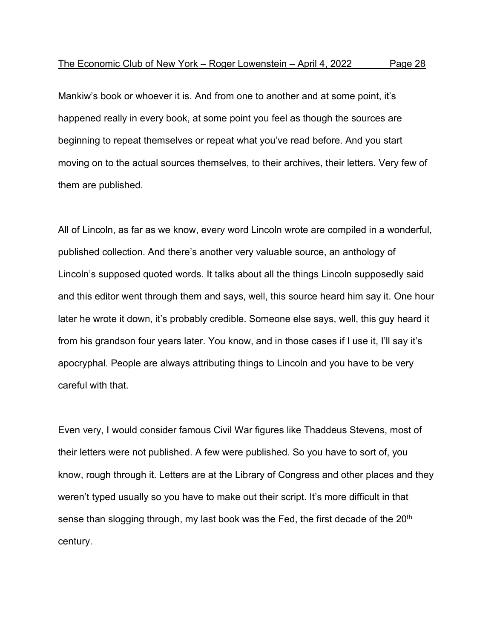Mankiw's book or whoever it is. And from one to another and at some point, it's happened really in every book, at some point you feel as though the sources are beginning to repeat themselves or repeat what you've read before. And you start moving on to the actual sources themselves, to their archives, their letters. Very few of them are published.

All of Lincoln, as far as we know, every word Lincoln wrote are compiled in a wonderful, published collection. And there's another very valuable source, an anthology of Lincoln's supposed quoted words. It talks about all the things Lincoln supposedly said and this editor went through them and says, well, this source heard him say it. One hour later he wrote it down, it's probably credible. Someone else says, well, this guy heard it from his grandson four years later. You know, and in those cases if I use it, I'll say it's apocryphal. People are always attributing things to Lincoln and you have to be very careful with that.

Even very, I would consider famous Civil War figures like Thaddeus Stevens, most of their letters were not published. A few were published. So you have to sort of, you know, rough through it. Letters are at the Library of Congress and other places and they weren't typed usually so you have to make out their script. It's more difficult in that sense than slogging through, my last book was the Fed, the first decade of the 20<sup>th</sup> century.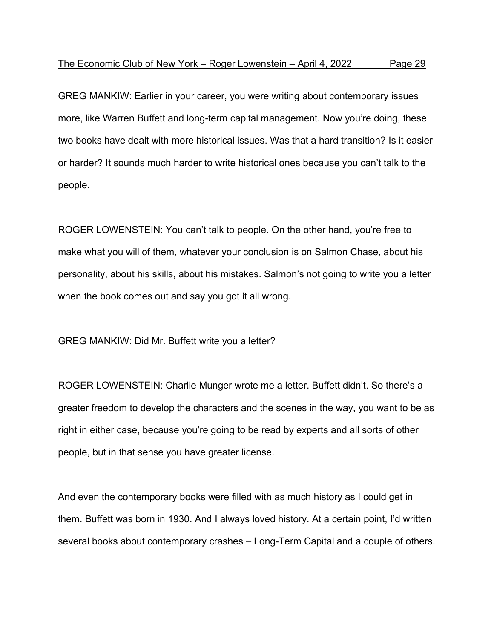GREG MANKIW: Earlier in your career, you were writing about contemporary issues more, like Warren Buffett and long-term capital management. Now you're doing, these two books have dealt with more historical issues. Was that a hard transition? Is it easier or harder? It sounds much harder to write historical ones because you can't talk to the people.

ROGER LOWENSTEIN: You can't talk to people. On the other hand, you're free to make what you will of them, whatever your conclusion is on Salmon Chase, about his personality, about his skills, about his mistakes. Salmon's not going to write you a letter when the book comes out and say you got it all wrong.

GREG MANKIW: Did Mr. Buffett write you a letter?

ROGER LOWENSTEIN: Charlie Munger wrote me a letter. Buffett didn't. So there's a greater freedom to develop the characters and the scenes in the way, you want to be as right in either case, because you're going to be read by experts and all sorts of other people, but in that sense you have greater license.

And even the contemporary books were filled with as much history as I could get in them. Buffett was born in 1930. And I always loved history. At a certain point, I'd written several books about contemporary crashes – Long-Term Capital and a couple of others.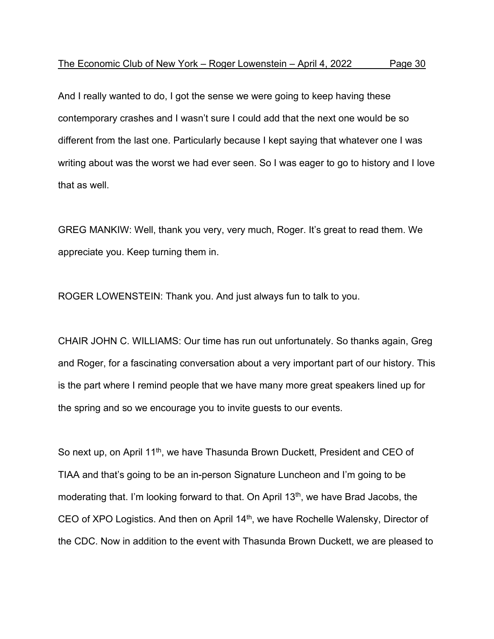And I really wanted to do, I got the sense we were going to keep having these contemporary crashes and I wasn't sure I could add that the next one would be so different from the last one. Particularly because I kept saying that whatever one I was writing about was the worst we had ever seen. So I was eager to go to history and I love that as well.

GREG MANKIW: Well, thank you very, very much, Roger. It's great to read them. We appreciate you. Keep turning them in.

ROGER LOWENSTEIN: Thank you. And just always fun to talk to you.

CHAIR JOHN C. WILLIAMS: Our time has run out unfortunately. So thanks again, Greg and Roger, for a fascinating conversation about a very important part of our history. This is the part where I remind people that we have many more great speakers lined up for the spring and so we encourage you to invite guests to our events.

So next up, on April 11<sup>th</sup>, we have Thasunda Brown Duckett, President and CEO of TIAA and that's going to be an in-person Signature Luncheon and I'm going to be moderating that. I'm looking forward to that. On April 13<sup>th</sup>, we have Brad Jacobs, the CEO of XPO Logistics. And then on April 14<sup>th</sup>, we have Rochelle Walensky, Director of the CDC. Now in addition to the event with Thasunda Brown Duckett, we are pleased to